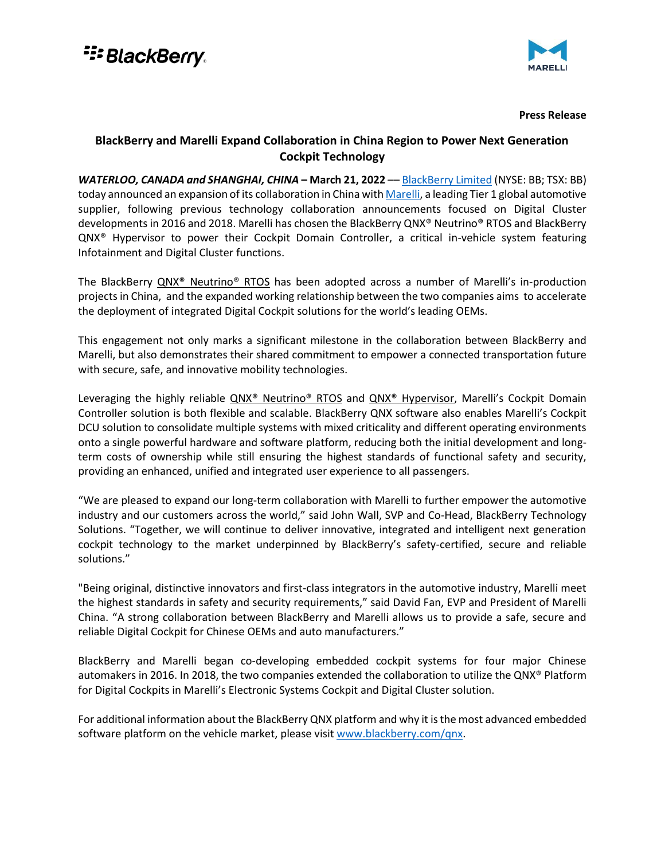



**Press Release**

## **BlackBerry and Marelli Expand Collaboration in China Region to Power Next Generation Cockpit Technology**

*WATERLOO, CANADA and SHANGHAI, CHINA* **– March 21, 2022** –– [BlackBerry Limited](https://www.blackberry.com/us/en) (NYSE: BB; TSX: BB) today announced an expansion of its collaboration in China wit[h Marelli,](https://www.marelli.com/) a leading Tier 1 global automotive supplier, following previous technology collaboration announcements focused on Digital Cluster developments in 2016 and 2018. Marelli has chosen the BlackBerry QNX® Neutrino® RTOS and BlackBerry QNX® Hypervisor to power their Cockpit Domain Controller, a critical in-vehicle system featuring Infotainment and Digital Cluster functions.

The BlackBerry [QNX® Neutrino® RTOS](https://blackberry.qnx.com/en/software-solutions/embedded-software/qnx-neutrino-rtos) has been adopted across a number of Marelli's in-production projects in China, and the expanded working relationship between the two companies aims to accelerate the deployment of integrated Digital Cockpit solutions for the world's leading OEMs.

This engagement not only marks a significant milestone in the collaboration between BlackBerry and Marelli, but also demonstrates their shared commitment to empower a connected transportation future with secure, safe, and innovative mobility technologies.

Leveraging the highly reliable QNX<sup>®</sup> Neutrino® RTOS and QNX<sup>®</sup> Hypervisor, Marelli's Cockpit Domain Controller solution is both flexible and scalable. BlackBerry QNX software also enables Marelli's Cockpit DCU solution to consolidate multiple systems with mixed criticality and different operating environments onto a single powerful hardware and software platform, reducing both the initial development and longterm costs of ownership while still ensuring the highest standards of functional safety and security, providing an enhanced, unified and integrated user experience to all passengers.

"We are pleased to expand our long-term collaboration with Marelli to further empower the automotive industry and our customers across the world," said John Wall, SVP and Co-Head, BlackBerry Technology Solutions. "Together, we will continue to deliver innovative, integrated and intelligent next generation cockpit technology to the market underpinned by BlackBerry's safety-certified, secure and reliable solutions."

"Being original, distinctive innovators and first-class integrators in the automotive industry, Marelli meet the highest standards in safety and security requirements," said David Fan, EVP and President of Marelli China. "A strong collaboration between BlackBerry and Marelli allows us to provide a safe, secure and reliable Digital Cockpit for Chinese OEMs and auto manufacturers."

BlackBerry and Marelli began co-developing embedded cockpit systems for four major Chinese automakers in 2016. In 2018, the two companies extended the collaboration to utilize the QNX® Platform for Digital Cockpits in Marelli's Electronic Systems Cockpit and Digital Cluster solution.

For additional information about the BlackBerry QNX platform and why it is the most advanced embedded software platform on the vehicle market, please visit [www.blackberry.com/qnx.](http://www.blackberry.com/qnx)